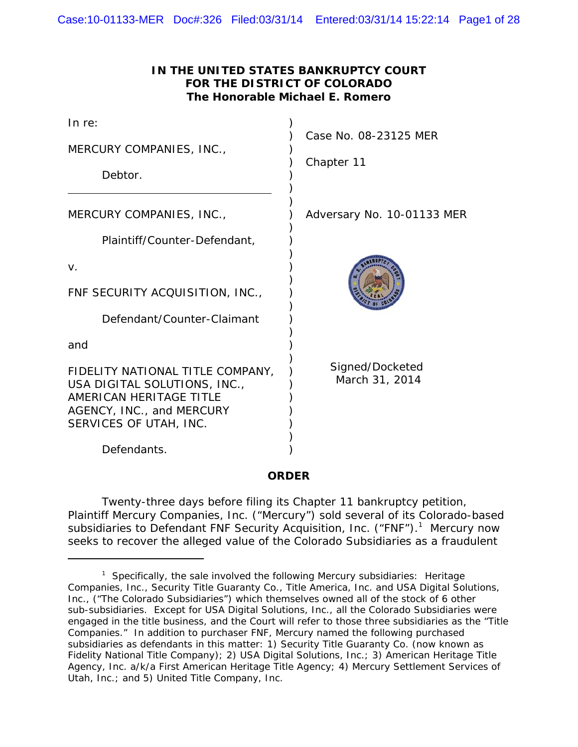| IN THE UNITED STATES BANKRUPTCY COURT |
|---------------------------------------|
| FOR THE DISTRICT OF COLORADO          |
| The Honorable Michael E. Romero       |

| Case No. 08-23125 MER             |
|-----------------------------------|
|                                   |
| Adversary No. 10-01133 MER        |
|                                   |
|                                   |
|                                   |
| Signed/Docketed<br>March 31, 2014 |
|                                   |

**ORDER**

Twenty-three days before filing its Chapter 11 bankruptcy petition, Plaintiff Mercury Companies, Inc. ("Mercury") sold several of its Colorado-based subsidiaries to Defendant FNF Security Acquisition, Inc. ("FNF").<sup>1</sup> Mercury now seeks to recover the alleged value of the Colorado Subsidiaries as a fraudulent

<sup>&</sup>lt;sup>1</sup> Specifically, the sale involved the following Mercury subsidiaries: Heritage Companies, Inc., Security Title Guaranty Co., Title America, Inc. and USA Digital Solutions, Inc., ("The Colorado Subsidiaries") which themselves owned all of the stock of 6 other sub-subsidiaries. Except for USA Digital Solutions, Inc., all the Colorado Subsidiaries were engaged in the title business, and the Court will refer to those three subsidiaries as the "Title Companies." In addition to purchaser FNF, Mercury named the following purchased subsidiaries as defendants in this matter: 1) Security Title Guaranty Co. (now known as Fidelity National Title Company); 2) USA Digital Solutions, Inc.; 3) American Heritage Title Agency, Inc. a/k/a First American Heritage Title Agency; 4) Mercury Settlement Services of Utah, Inc.; and 5) United Title Company, Inc.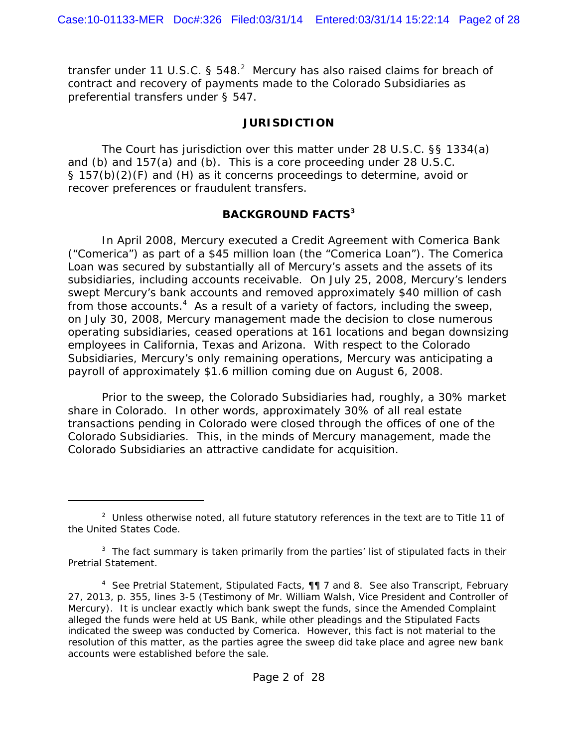transfer under 11 U.S.C. § 548. $^2$  Mercury has also raised claims for breach of contract and recovery of payments made to the Colorado Subsidiaries as preferential transfers under § 547.

#### **JURISDICTION**

The Court has jurisdiction over this matter under 28 U.S.C. §§ 1334(a) and (b) and 157(a) and (b). This is a core proceeding under 28 U.S.C. § 157(b)(2)(F) and (H) as it concerns proceedings to determine, avoid or recover preferences or fraudulent transfers.

## **BACKGROUND FACTS<sup>3</sup>**

In April 2008, Mercury executed a Credit Agreement with Comerica Bank ("Comerica") as part of a \$45 million loan (the "Comerica Loan"). The Comerica Loan was secured by substantially all of Mercury's assets and the assets of its subsidiaries, including accounts receivable. On July 25, 2008, Mercury's lenders swept Mercury's bank accounts and removed approximately \$40 million of cash from those accounts. $4$  As a result of a variety of factors, including the sweep, on July 30, 2008, Mercury management made the decision to close numerous operating subsidiaries, ceased operations at 161 locations and began downsizing employees in California, Texas and Arizona. With respect to the Colorado Subsidiaries, Mercury's only remaining operations, Mercury was anticipating a payroll of approximately \$1.6 million coming due on August 6, 2008.

Prior to the sweep, the Colorado Subsidiaries had, roughly, a 30% market share in Colorado. In other words, approximately 30% of all real estate transactions pending in Colorado were closed through the offices of one of the Colorado Subsidiaries. This, in the minds of Mercury management, made the Colorado Subsidiaries an attractive candidate for acquisition.

 $2$  Unless otherwise noted, all future statutory references in the text are to Title 11 of the United States Code.

 $3$  The fact summary is taken primarily from the parties' list of stipulated facts in their Pretrial Statement.

<sup>4</sup>  *See* Pretrial Statement, Stipulated Facts, ¶¶ 7 and 8. *See also* Transcript, February 27, 2013, p. 355, lines 3-5 (Testimony of Mr. William Walsh, Vice President and Controller of Mercury). It is unclear exactly which bank swept the funds, since the Amended Complaint alleged the funds were held at US Bank, while other pleadings and the Stipulated Facts indicated the sweep was conducted by Comerica. However, this fact is not material to the resolution of this matter, as the parties agree the sweep did take place and agree new bank accounts were established before the sale.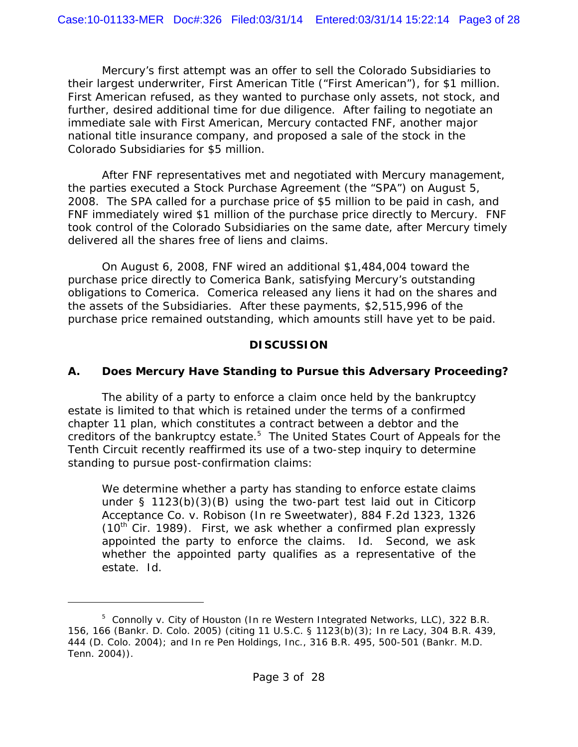Mercury's first attempt was an offer to sell the Colorado Subsidiaries to their largest underwriter, First American Title ("First American"), for \$1 million. First American refused, as they wanted to purchase only assets, not stock, and further, desired additional time for due diligence. After failing to negotiate an immediate sale with First American, Mercury contacted FNF, another major national title insurance company, and proposed a sale of the stock in the Colorado Subsidiaries for \$5 million.

After FNF representatives met and negotiated with Mercury management, the parties executed a Stock Purchase Agreement (the "SPA") on August 5, 2008. The SPA called for a purchase price of \$5 million to be paid in cash, and FNF immediately wired \$1 million of the purchase price directly to Mercury. FNF took control of the Colorado Subsidiaries on the same date, after Mercury timely delivered all the shares free of liens and claims.

On August 6, 2008, FNF wired an additional \$1,484,004 toward the purchase price directly to Comerica Bank, satisfying Mercury's outstanding obligations to Comerica. Comerica released any liens it had on the shares and the assets of the Subsidiaries. After these payments, \$2,515,996 of the purchase price remained outstanding, which amounts still have yet to be paid.

## **DISCUSSION**

# **A. Does Mercury Have Standing to Pursue this Adversary Proceeding?**

The ability of a party to enforce a claim once held by the bankruptcy estate is limited to that which is retained under the terms of a confirmed chapter 11 plan, which constitutes a contract between a debtor and the creditors of the bankruptcy estate.<sup>5</sup> The United States Court of Appeals for the Tenth Circuit recently reaffirmed its use of a two-step inquiry to determine standing to pursue post-confirmation claims:

We determine whether a party has standing to enforce estate claims under § 1123(b)(3)(B) using the two-part test laid out in *Citicorp Acceptance Co. v. Robison (In re Sweetwater)*, 884 F.2d 1323, 1326  $(10<sup>th</sup>$  Cir. 1989). First, we ask whether a confirmed plan expressly appointed the party to enforce the claims. *Id*. Second, we ask whether the appointed party qualifies as a representative of the estate. *Id*.

<sup>5</sup> *Connolly v. City of Houston (In re Western Integrated Networks, LLC)*, 322 B.R. 156, 166 (Bankr. D. Colo. 2005) (citing 11 U.S.C. § 1123(b)(3); *In re Lacy*, 304 B.R. 439, 444 (D. Colo. 2004); and *In re Pen Holdings, Inc.*, 316 B.R. 495, 500-501 (Bankr. M.D. Tenn. 2004)).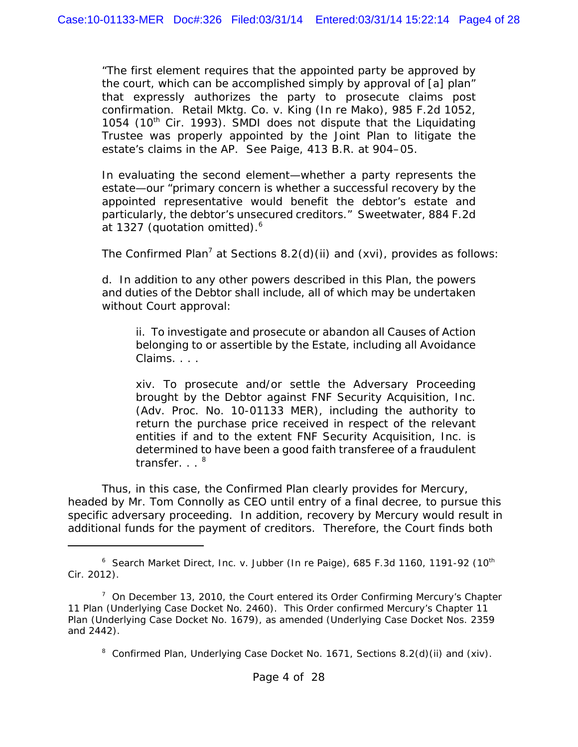"The first element requires that the appointed party be approved by the court, which can be accomplished simply by approval of [a] plan" that expressly authorizes the party to prosecute claims post confirmation. *Retail Mktg. Co. v. King (In re Mako)*, 985 F.2d 1052, 1054 (10<sup>th</sup> Cir. 1993). SMDI does not dispute that the Liquidating Trustee was properly appointed by the Joint Plan to litigate the estate's claims in the AP. *See Paige*, 413 B.R. at 904–05.

In evaluating the second element—whether a party represents the estate—our "primary concern is whether a successful recovery by the appointed representative would benefit the debtor's estate and particularly, the debtor's unsecured creditors." *Sweetwater*, 884 F.2d at 1327 (quotation omitted).<sup>6</sup>

The Confirmed Plan<sup>7</sup> at Sections  $8.2$ (d)(ii) and (xvi), provides as follows:

d. In addition to any other powers described in this Plan, the powers and duties of the Debtor shall include, all of which may be undertaken without Court approval:

ii. To investigate and prosecute or abandon all Causes of Action belonging to or assertible by the Estate, including all Avoidance Claims. . . .

xiv. To prosecute and/or settle the Adversary Proceeding brought by the Debtor against FNF Security Acquisition, Inc. (Adv. Proc. No. 10-01133 MER), including the authority to return the purchase price received in respect of the relevant entities if and to the extent FNF Security Acquisition, Inc. is determined to have been a good faith transferee of a fraudulent transfer.  $.$   $.$   $^{8}$ 

Thus, in this case, the Confirmed Plan clearly provides for Mercury, headed by Mr. Tom Connolly as CEO until entry of a final decree, to pursue this specific adversary proceeding. In addition, recovery by Mercury would result in additional funds for the payment of creditors. Therefore, the Court finds both

<sup>&</sup>lt;sup>6</sup> Search Market Direct, Inc. v. Jubber (In re Paige), 685 F.3d 1160, 1191-92 (10<sup>th</sup> Cir. 2012).

 $7$  On December 13, 2010, the Court entered its Order Confirming Mercury's Chapter 11 Plan (Underlying Case Docket No. 2460). This Order confirmed Mercury's Chapter 11 Plan (Underlying Case Docket No. 1679), as amended (Underlying Case Docket Nos. 2359 and 2442).

<sup>&</sup>lt;sup>8</sup> Confirmed Plan, Underlying Case Docket No. 1671, Sections 8.2(d)(ii) and (xiv).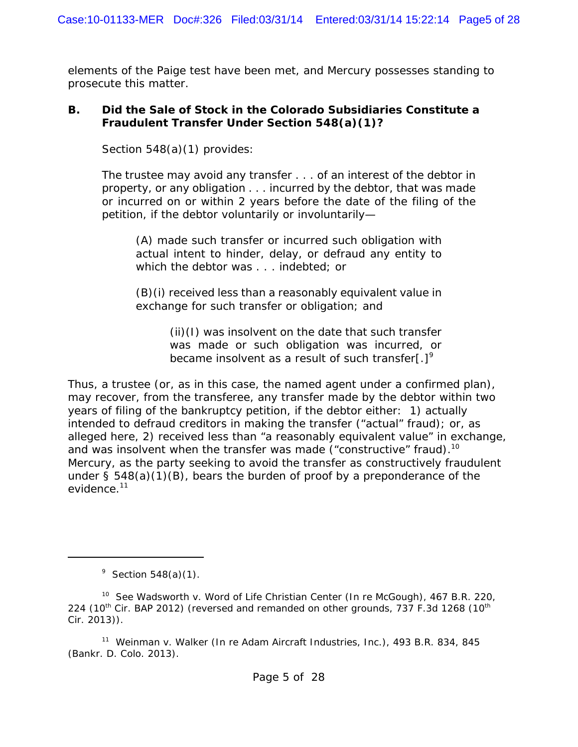elements of the *Paige* test have been met, and Mercury possesses standing to prosecute this matter.

#### **B. Did the Sale of Stock in the Colorado Subsidiaries Constitute a Fraudulent Transfer Under Section 548(a)(1)?**

Section 548(a)(1) provides:

The trustee may avoid any transfer . . . of an interest of the debtor in property, or any obligation . . . incurred by the debtor, that was made or incurred on or within 2 years before the date of the filing of the petition, if the debtor voluntarily or involuntarily—

(A) made such transfer or incurred such obligation with actual intent to hinder, delay, or defraud any entity to which the debtor was . . . indebted; or

(B)(i) received less than a reasonably equivalent value in exchange for such transfer or obligation; and

> (ii)(I) was insolvent on the date that such transfer was made or such obligation was incurred, or became insolvent as a result of such transfer[.]<sup>9</sup>

Thus, a trustee (or, as in this case, the named agent under a confirmed plan), may recover, from the transferee, any transfer made by the debtor within two years of filing of the bankruptcy petition, if the debtor either: 1) actually intended to defraud creditors in making the transfer ("actual" fraud); or, as alleged here, 2) received less than "a reasonably equivalent value" in exchange, and was insolvent when the transfer was made ("constructive" fraud).<sup>10</sup> Mercury, as the party seeking to avoid the transfer as constructively fraudulent under  $\S$  548(a)(1)(B), bears the burden of proof by a preponderance of the evidence.<sup>11</sup>

<sup>11</sup> *Weinman v. Walker (In re Adam Aircraft Industries, Inc.)*, 493 B.R. 834, 845 (Bankr. D. Colo. 2013).

 $9$  Section 548(a)(1).

<sup>10</sup> *See Wadsworth v. Word of Life Christian Center (In re McGough)*, 467 B.R. 220, 224 ( $10<sup>th</sup>$  Cir. BAP 2012) (reversed and remanded on other grounds, 737 F.3d 1268 ( $10<sup>th</sup>$ Cir. 2013)).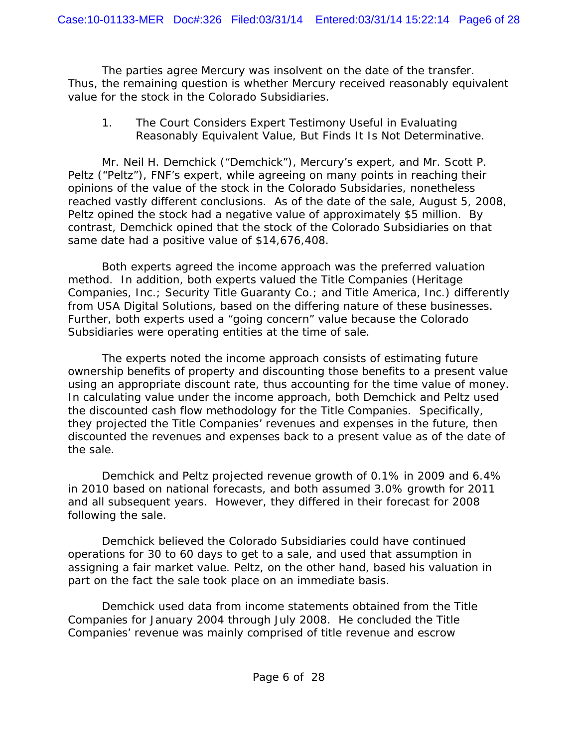The parties agree Mercury was insolvent on the date of the transfer. Thus, the remaining question is whether Mercury received reasonably equivalent value for the stock in the Colorado Subsidiaries.

#### *1. The Court Considers Expert Testimony Useful in Evaluating Reasonably Equivalent Value, But Finds It Is Not Determinative.*

Mr. Neil H. Demchick ("Demchick"), Mercury's expert, and Mr. Scott P. Peltz ("Peltz"), FNF's expert, while agreeing on many points in reaching their opinions of the value of the stock in the Colorado Subsidaries, nonetheless reached vastly different conclusions. As of the date of the sale, August 5, 2008, Peltz opined the stock had a negative value of approximately \$5 million. By contrast, Demchick opined that the stock of the Colorado Subsidiaries on that same date had a positive value of \$14,676,408.

Both experts agreed the income approach was the preferred valuation method. In addition, both experts valued the Title Companies (Heritage Companies, Inc.; Security Title Guaranty Co.; and Title America, Inc.) differently from USA Digital Solutions, based on the differing nature of these businesses. Further, both experts used a "going concern" value because the Colorado Subsidiaries were operating entities at the time of sale.

The experts noted the income approach consists of estimating future ownership benefits of property and discounting those benefits to a present value using an appropriate discount rate, thus accounting for the time value of money. In calculating value under the income approach, both Demchick and Peltz used the discounted cash flow methodology for the Title Companies. Specifically, they projected the Title Companies' revenues and expenses in the future, then discounted the revenues and expenses back to a present value as of the date of the sale.

Demchick and Peltz projected revenue growth of 0.1% in 2009 and 6.4% in 2010 based on national forecasts, and both assumed 3.0% growth for 2011 and all subsequent years. However, they differed in their forecast for 2008 following the sale.

Demchick believed the Colorado Subsidiaries could have continued operations for 30 to 60 days to get to a sale, and used that assumption in assigning a fair market value. Peltz, on the other hand, based his valuation in part on the fact the sale took place on an immediate basis.

Demchick used data from income statements obtained from the Title Companies for January 2004 through July 2008. He concluded the Title Companies' revenue was mainly comprised of title revenue and escrow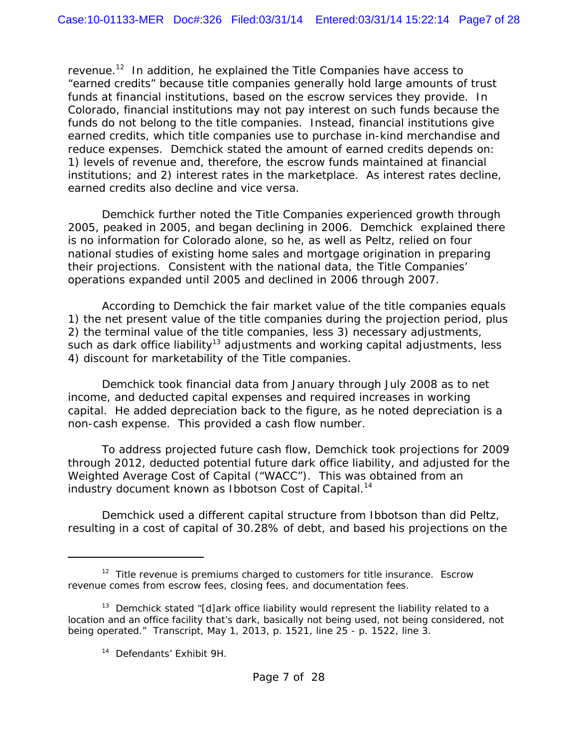revenue.<sup>12</sup> In addition, he explained the Title Companies have access to "earned credits" because title companies generally hold large amounts of trust funds at financial institutions, based on the escrow services they provide. In Colorado, financial institutions may not pay interest on such funds because the funds do not belong to the title companies. Instead, financial institutions give earned credits, which title companies use to purchase in-kind merchandise and reduce expenses. Demchick stated the amount of earned credits depends on: 1) levels of revenue and, therefore, the escrow funds maintained at financial institutions; and 2) interest rates in the marketplace. As interest rates decline, earned credits also decline and *vice versa*.

Demchick further noted the Title Companies experienced growth through 2005, peaked in 2005, and began declining in 2006. Demchick explained there is no information for Colorado alone, so he, as well as Peltz, relied on four national studies of existing home sales and mortgage origination in preparing their projections. Consistent with the national data, the Title Companies' operations expanded until 2005 and declined in 2006 through 2007.

According to Demchick the fair market value of the title companies equals 1) the net present value of the title companies during the projection period, plus 2) the terminal value of the title companies, less 3) necessary adjustments, such as dark office liability<sup>13</sup> adjustments and working capital adjustments, less 4) discount for marketability of the Title companies.

Demchick took financial data from January through July 2008 as to net income, and deducted capital expenses and required increases in working capital. He added depreciation back to the figure, as he noted depreciation is a non-cash expense. This provided a cash flow number.

To address projected future cash flow, Demchick took projections for 2009 through 2012, deducted potential future dark office liability, and adjusted for the Weighted Average Cost of Capital ("WACC"). This was obtained from an industry document known as Ibbotson Cost of Capital.<sup>14</sup>

Demchick used a different capital structure from Ibbotson than did Peltz, resulting in a cost of capital of 30.28% of debt, and based his projections on the

 $12$  Title revenue is premiums charged to customers for title insurance. Escrow revenue comes from escrow fees, closing fees, and documentation fees.

<sup>&</sup>lt;sup>13</sup> Demchick stated "[d]ark office liability would represent the liability related to a location and an office facility that's dark, basically not being used, not being considered, not being operated." Transcript, May 1, 2013, p. 1521, line 25 - p. 1522, line 3.

<sup>14</sup> Defendants' Exhibit 9H.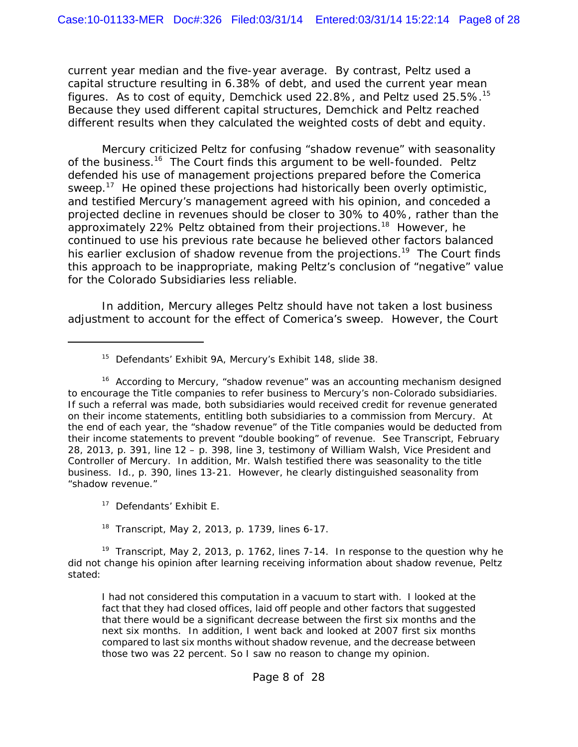current year median and the five-year average. By contrast, Peltz used a capital structure resulting in 6.38% of debt, and used the current year mean figures. As to cost of equity, Demchick used 22.8%, and Peltz used  $25.5\%$ .<sup>15</sup> Because they used different capital structures, Demchick and Peltz reached different results when they calculated the weighted costs of debt and equity.

Mercury criticized Peltz for confusing "shadow revenue" with seasonality of the business.<sup>16</sup> The Court finds this argument to be well-founded. Peltz defended his use of management projections prepared before the Comerica sweep.<sup>17</sup> He opined these projections had historically been overly optimistic, and testified Mercury's management agreed with his opinion, and conceded a projected decline in revenues should be closer to 30% to 40%, rather than the approximately 22% Peltz obtained from their projections.<sup>18</sup> However, he continued to use his previous rate because he believed other factors balanced his earlier exclusion of shadow revenue from the projections.<sup>19</sup> The Court finds this approach to be inappropriate, making Peltz's conclusion of "negative" value for the Colorado Subsidiaries less reliable.

In addition, Mercury alleges Peltz should have not taken a lost business adjustment to account for the effect of Comerica's sweep. However, the Court

<sup>17</sup> Defendants' Exhibit E.

Transcript, May 2, 2013, p. 1739, lines 6-17.

<sup>19</sup> Transcript, May 2, 2013, p. 1762, lines 7-14. In response to the question why he did not change his opinion after learning receiving information about shadow revenue, Peltz stated:

I had not considered this computation in a vacuum to start with. I looked at the fact that they had closed offices, laid off people and other factors that suggested that there would be a significant decrease between the first six months and the next six months. In addition, I went back and looked at 2007 first six months compared to last six months without shadow revenue, and the decrease between those two was 22 percent. So I saw no reason to change my opinion.

<sup>&</sup>lt;sup>15</sup> Defendants' Exhibit 9A, Mercury's Exhibit 148, slide 38.

<sup>&</sup>lt;sup>16</sup> According to Mercury, "shadow revenue" was an accounting mechanism designed to encourage the Title companies to refer business to Mercury's non-Colorado subsidiaries. If such a referral was made, both subsidiaries would received credit for revenue generated on their income statements, entitling both subsidiaries to a commission from Mercury. At the end of each year, the "shadow revenue" of the Title companies would be deducted from their income statements to prevent "double booking" of revenue. *See* Transcript, February 28, 2013, p. 391, line 12 – p. 398, line 3, testimony of William Walsh, Vice President and Controller of Mercury. In addition, Mr. Walsh testified there was seasonality to the title business. *Id*., p. 390, lines 13-21. However, he clearly distinguished seasonality from "shadow revenue."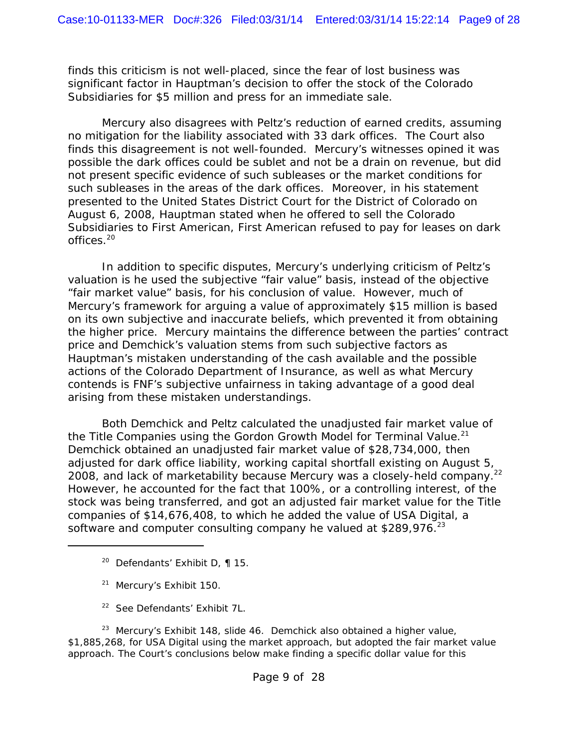finds this criticism is not well-placed, since the fear of lost business was significant factor in Hauptman's decision to offer the stock of the Colorado Subsidiaries for \$5 million and press for an immediate sale.

Mercury also disagrees with Peltz's reduction of earned credits, assuming no mitigation for the liability associated with 33 dark offices. The Court also finds this disagreement is not well-founded. Mercury's witnesses opined it was possible the dark offices could be sublet and not be a drain on revenue, but did not present specific evidence of such subleases or the market conditions for such subleases in the areas of the dark offices. Moreover, in his statement presented to the United States District Court for the District of Colorado on August 6, 2008, Hauptman stated when he offered to sell the Colorado Subsidiaries to First American, First American refused to pay for leases on dark offices.20

In addition to specific disputes, Mercury's underlying criticism of Peltz's valuation is he used the subjective "fair value" basis, instead of the objective "fair market value" basis, for his conclusion of value. However, much of Mercury's framework for arguing a value of approximately \$15 million is based on its own subjective and inaccurate beliefs, which prevented it from obtaining the higher price. Mercury maintains the difference between the parties' contract price and Demchick's valuation stems from such subjective factors as Hauptman's mistaken understanding of the cash available and the possible actions of the Colorado Department of Insurance, as well as what Mercury contends is FNF's subjective unfairness in taking advantage of a good deal arising from these mistaken understandings.

Both Demchick and Peltz calculated the unadjusted fair market value of the Title Companies using the Gordon Growth Model for Terminal Value.<sup>21</sup> Demchick obtained an unadjusted fair market value of \$28,734,000, then adjusted for dark office liability, working capital shortfall existing on August 5, 2008, and lack of marketability because Mercury was a closely-held company.<sup>22</sup> However, he accounted for the fact that 100%, or a controlling interest, of the stock was being transferred, and got an adjusted fair market value for the Title companies of \$14,676,408, to which he added the value of USA Digital, a software and computer consulting company he valued at  $$289,976.<sup>23</sup>$ 

- <sup>20</sup> Defendants' Exhibit D,  $\P$  15.
- <sup>21</sup> Mercury's Exhibit 150.
- 22 *See* Defendants' Exhibit 7L.

<sup>23</sup> Mercury's Exhibit 148, slide 46. Demchick also obtained a higher value, \$1,885,268, for USA Digital using the market approach, but adopted the fair market value approach. The Court's conclusions below make finding a specific dollar value for this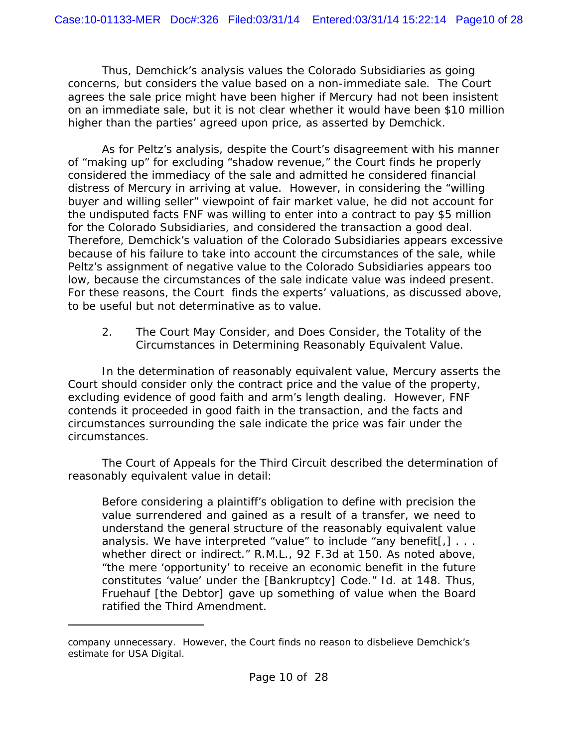Thus, Demchick's analysis values the Colorado Subsidiaries as going concerns, but considers the value based on a non-immediate sale. The Court agrees the sale price might have been higher if Mercury had not been insistent on an immediate sale, but it is not clear whether it would have been \$10 million higher than the parties' agreed upon price, as asserted by Demchick.

As for Peltz's analysis, despite the Court's disagreement with his manner of "making up" for excluding "shadow revenue," the Court finds he properly considered the immediacy of the sale and admitted he considered financial distress of Mercury in arriving at value. However, in considering the "willing buyer and willing seller" viewpoint of fair market value, he did not account for the undisputed facts FNF was willing to enter into a contract to pay \$5 million for the Colorado Subsidiaries, and considered the transaction a good deal. Therefore, Demchick's valuation of the Colorado Subsidiaries appears excessive because of his failure to take into account the circumstances of the sale, while Peltz's assignment of negative value to the Colorado Subsidiaries appears too low, because the circumstances of the sale indicate value was indeed present. For these reasons, the Court finds the experts' valuations, as discussed above, to be useful but not determinative as to value.

#### *2. The Court May Consider, and Does Consider, the Totality of the Circumstances in Determining Reasonably Equivalent Value.*

In the determination of reasonably equivalent value, Mercury asserts the Court should consider only the contract price and the value of the property, excluding evidence of good faith and arm's length dealing. However, FNF contends it proceeded in good faith in the transaction, and the facts and circumstances surrounding the sale indicate the price was fair under the circumstances.

The Court of Appeals for the Third Circuit described the determination of reasonably equivalent value in detail:

Before considering a plaintiff's obligation to define with precision the value surrendered and gained as a result of a transfer, we need to understand the general structure of the reasonably equivalent value analysis. We have interpreted "value" to include "any benefit[,]  $\dots$ whether direct or indirect." *R.M.L.*, 92 F.3d at 150. As noted above, "the mere 'opportunity' to receive an economic benefit in the future constitutes 'value' under the [Bankruptcy] Code." *Id*. at 148. Thus, Fruehauf [the Debtor] gave up something of value when the Board ratified the Third Amendment.

company unnecessary. However, the Court finds no reason to disbelieve Demchick's estimate for USA Digital.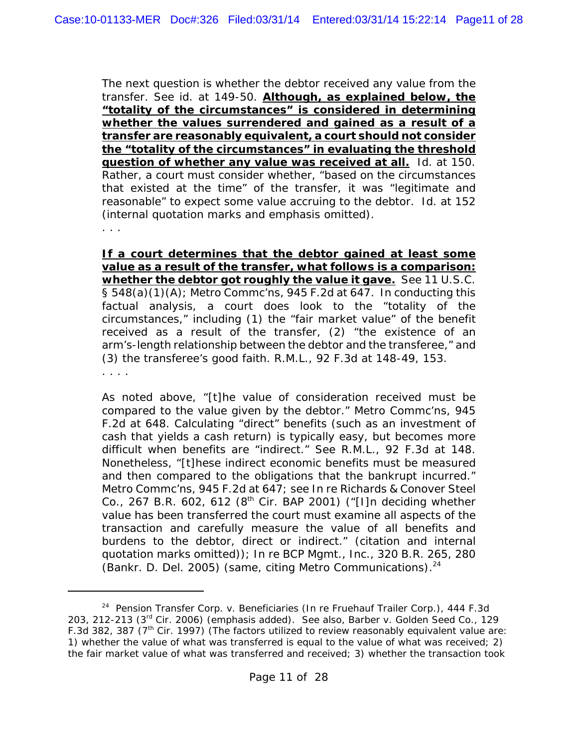The next question is whether the debtor received any value from the transfer. *See id.* at 149-50. **Although, as explained below, the "totality of the circumstances" is considered in determining whether the values surrendered and gained as a result of a transfer are reasonably equivalent, a court should not consider the "totality of the circumstances" in evaluating the threshold question of whether any value was received at all.** *Id*. at 150. Rather, a court must consider whether, "based on the circumstances that existed at the time" of the transfer, it was "legitimate and reasonable" to expect some value accruing to the debtor. *Id*. at 152 (internal quotation marks and emphasis omitted).

. . .

**If a court determines that the debtor gained at least some value as a result of the transfer, what follows is a comparison: whether the debtor got roughly the value it gave.** *See* 11 U.S.C. § 548(a)(1)(A); *Metro Commc'ns*, 945 F.2d at 647. In conducting this factual analysis, a court does look to the "totality of the circumstances," including (1) the "fair market value" of the benefit received as a result of the transfer, (2) "the existence of an arm's-length relationship between the debtor and the transferee," and (3) the transferee's good faith. *R.M.L*., 92 F.3d at 148-49, 153. . . . .

As noted above, "[t]he value of consideration received must be compared to the value given by the debtor." *Metro Commc'ns*, 945 F.2d at 648. Calculating "direct" benefits (such as an investment of cash that yields a cash return) is typically easy, but becomes more difficult when benefits are "indirect." *See R.M.L.*, 92 F.3d at 148. Nonetheless, "[t]hese indirect economic benefits must be measured and then compared to the obligations that the bankrupt incurred." *Metro Commc'ns*, 945 F.2d at 647; *see In re Richards & Conover Steel Co.*, 267 B.R. 602, 612 (8<sup>th</sup> Cir. BAP 2001) ("[I]n deciding whether value has been transferred the court must examine all aspects of the transaction and carefully measure the value of all benefits and burdens to the debtor, direct or indirect." (citation and internal quotation marks omitted)); *In re BCP Mgmt., Inc.*, 320 B.R. 265, 280 (Bankr. D. Del. 2005) (same, citing *Metro Communications*).24

<sup>24</sup> *Pension Transfer Corp. v. Beneficiaries (In re Fruehauf Trailer Corp.)*, 444 F.3d 203, 212-213 (3rd Cir. 2006) (emphasis added). *See also, Barber v. Golden Seed Co.*, 129 F.3d 382, 387 ( $7<sup>th</sup>$  Cir. 1997) (The factors utilized to review reasonably equivalent value are: 1) whether the value of what was transferred is equal to the value of what was received; 2) the fair market value of what was transferred and received; 3) whether the transaction took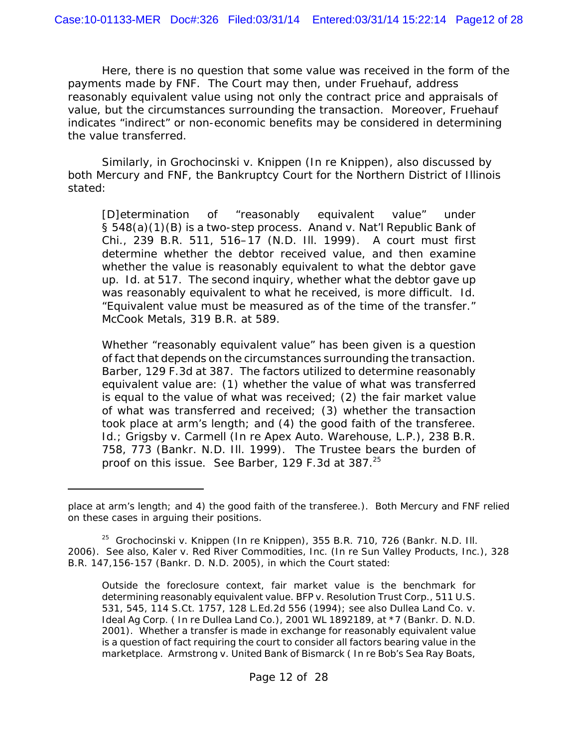Here, there is no question that some value was received in the form of the payments made by FNF. The Court may then, under *Fruehauf*, address reasonably equivalent value using not only the contract price and appraisals of value, but the circumstances surrounding the transaction. Moreover, *Fruehauf* indicates "indirect" or non-economic benefits may be considered in determining the value transferred.

Similarly, in *Grochocinski v. Knippen (In re Knippen)*, also discussed by both Mercury and FNF, the Bankruptcy Court for the Northern District of Illinois stated:

[D]etermination of "reasonably equivalent value" under § 548(a)(1)(B) is a two-step process. *Anand v. Nat'l Republic Bank of Chi.*, 239 B.R. 511, 516–17 (N.D. Ill. 1999). A court must first determine whether the debtor received value, and then examine whether the value is reasonably equivalent to what the debtor gave up. *Id*. at 517. The second inquiry, whether what the debtor gave up was reasonably equivalent to what he received, is more difficult. *Id*. "Equivalent value must be measured as of the time of the transfer." *McCook Metals*, 319 B.R. at 589.

Whether "reasonably equivalent value" has been given is a question of fact that depends on the circumstances surrounding the transaction. *Barber*, 129 F.3d at 387. The factors utilized to determine reasonably equivalent value are: (1) whether the value of what was transferred is equal to the value of what was received;  $(2)$  the fair market value of what was transferred and received; (3) whether the transaction took place at arm's length; and (4) the good faith of the transferee. *Id.*; *Grigsby v. Carmell (In re Apex Auto. Warehouse, L.P.)*, 238 B.R. 758, 773 (Bankr. N.D. Ill. 1999). The Trustee bears the burden of proof on this issue. *See Barber*, 129 F.3d at 387.<sup>25</sup>

place at arm's length; and 4) the good faith of the transferee.). Both Mercury and FNF relied on these cases in arguing their positions.

<sup>25</sup> *Grochocinski v. Knippen (In re Knippen)*, 355 B.R. 710, 726 (Bankr. N.D. Ill. 2006). *See also, Kaler v. Red River Commodities, Inc. (In re Sun Valley Products, Inc.)*, 328 B.R. 147,156-157 (Bankr. D. N.D. 2005), in which the Court stated:

Outside the foreclosure context, fair market value is the benchmark for determining reasonably equivalent value. *BFP v. Resolution Trust Corp.*, 511 U.S. 531, 545, 114 S.Ct. 1757, 128 L.Ed.2d 556 (1994); *see also Dullea Land Co. v. Ideal Ag Corp. ( In re Dullea Land Co.)*, 2001 WL 1892189, at \*7 (Bankr. D. N.D. 2001). Whether a transfer is made in exchange for reasonably equivalent value is a question of fact requiring the court to consider all factors bearing value in the marketplace. *Armstrong v. United Bank of Bismarck ( In re Bob's Sea Ray Boats,*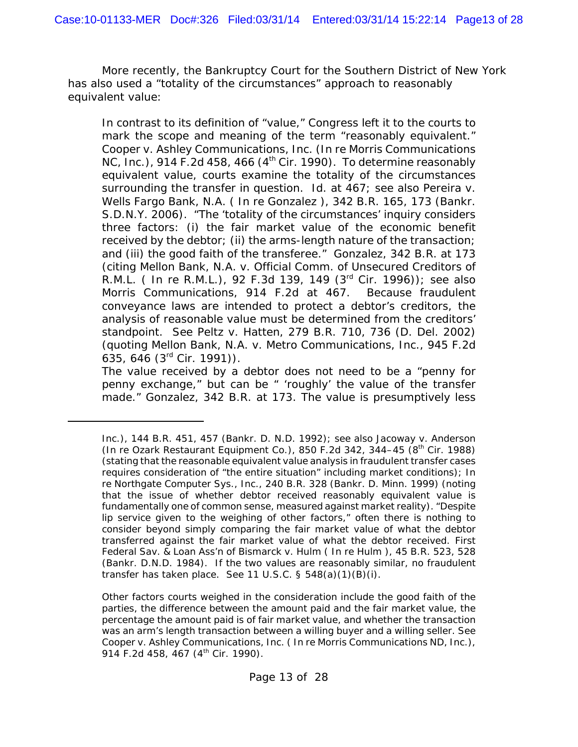More recently, the Bankruptcy Court for the Southern District of New York has also used a "totality of the circumstances" approach to reasonably equivalent value:

In contrast to its definition of "value," Congress left it to the courts to mark the scope and meaning of the term "reasonably equivalent." *Cooper v. Ashley Communications, Inc. (In re Morris Communications NC, Inc.)*, 914 F.2d 458, 466 (4<sup>th</sup> Cir. 1990). To determine reasonably equivalent value, courts examine the totality of the circumstances surrounding the transfer in question. *Id*. at 467; *see also Pereira v. Wells Fargo Bank, N.A. ( In re Gonzalez )*, 342 B.R. 165, 173 (Bankr. S.D.N.Y. 2006). "The 'totality of the circumstances' inquiry considers three factors: (i) the fair market value of the economic benefit received by the debtor; (ii) the arms-length nature of the transaction; and (iii) the good faith of the transferee." *Gonzalez*, 342 B.R. at 173 (citing *Mellon Bank, N.A. v. Official Comm. of Unsecured Creditors of R.M.L. ( In re R.M.L.)*, 92 F.3d 139, 149 (3rd Cir. 1996)); *see also Morris Communications*, 914 F.2d at 467. Because fraudulent conveyance laws are intended to protect a debtor's creditors, the analysis of reasonable value must be determined from the creditors' standpoint. *See Peltz v. Hatten*, 279 B.R. 710, 736 (D. Del. 2002) (quoting *Mellon Bank, N.A. v. Metro Communications, Inc*., 945 F.2d 635, 646 (3rd Cir. 1991)).

The value received by a debtor does not need to be a "penny for penny exchange," but can be " 'roughly' the value of the transfer made." *Gonzalez*, 342 B.R. at 173. The value is presumptively less

*Inc.*), 144 B.R. 451, 457 (Bankr. D. N.D. 1992); *see also Jacoway v. Anderson (In re Ozark Restaurant Equipment Co.)*, 850 F.2d 342, 344–45 (8th Cir. 1988) (stating that the reasonable equivalent value analysis in fraudulent transfer cases requires consideration of "the entire situation" including market conditions); *In re Northgate Computer Sys., Inc.*, 240 B.R. 328 (Bankr. D. Minn. 1999) (noting that the issue of whether debtor received reasonably equivalent value is fundamentally one of common sense, measured against market reality). "Despite lip service given to the weighing of other factors," often there is nothing to consider beyond simply comparing the fair market value of what the debtor transferred against the fair market value of what the debtor received. *First Federal Sav. & Loan Ass'n of Bismarck v. Hulm ( In re Hulm* ), 45 B.R. 523, 528 (Bankr. D.N.D. 1984). If the two values are reasonably similar, no fraudulent transfer has taken place. *See* 11 U.S.C. § 548(a)(1)(B)(i).

Other factors courts weighed in the consideration include the good faith of the parties, the difference between the amount paid and the fair market value, the percentage the amount paid is of fair market value, and whether the transaction was an arm's length transaction between a willing buyer and a willing seller. *See Cooper v. Ashley Communications, Inc. ( In re Morris Communications ND, Inc.)*, 914 F.2d 458, 467 (4<sup>th</sup> Cir. 1990).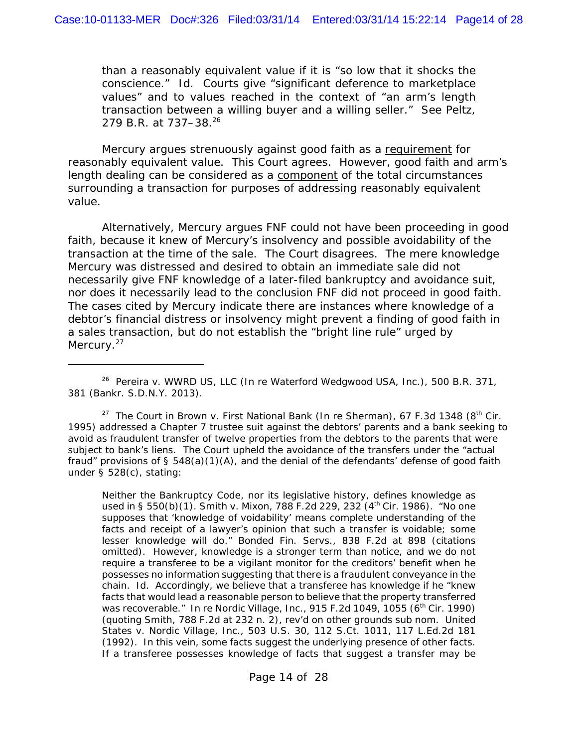than a reasonably equivalent value if it is "so low that it shocks the conscience." *Id*. Courts give "significant deference to marketplace values" and to values reached in the context of "an arm's length transaction between a willing buyer and a willing seller." *See Peltz*, 279 B.R. at 737-38.<sup>26</sup>

Mercury argues strenuously against good faith as a requirement for reasonably equivalent value. This Court agrees. However, good faith and arm's length dealing can be considered as a component of the total circumstances surrounding a transaction for purposes of addressing reasonably equivalent value.

Alternatively, Mercury argues FNF could not have been proceeding in good faith, because it knew of Mercury's insolvency and possible avoidability of the transaction at the time of the sale. The Court disagrees. The mere knowledge Mercury was distressed and desired to obtain an immediate sale did not necessarily give FNF knowledge of a later-filed bankruptcy and avoidance suit, nor does it necessarily lead to the conclusion FNF did not proceed in good faith. The cases cited by Mercury indicate there are instances where knowledge of a debtor's financial distress or insolvency might prevent a finding of good faith in a sales transaction, but do not establish the "bright line rule" urged by Mercury.<sup>27</sup>

<sup>26</sup> *Pereira v. WWRD US, LLC (In re Waterford Wedgwood USA, Inc.)*, 500 B.R. 371, 381 (Bankr. S.D.N.Y. 2013).

<sup>27</sup> The Court in *Brown v. First National Bank (In re Sherman)*, 67 F.3d 1348 (8<sup>th</sup> Cir. 1995) addressed a Chapter 7 trustee suit against the debtors' parents and a bank seeking to avoid as fraudulent transfer of twelve properties from the debtors to the parents that were subject to bank's liens. The Court upheld the avoidance of the transfers under the "actual fraud" provisions of § 548(a)(1)(A), and the denial of the defendants' defense of good faith under § 528(c), stating:

Neither the Bankruptcy Code, nor its legislative history, defines knowledge as used in § 550(b)(1). *Smith v. Mixon*, 788 F.2d 229, 232 (4<sup>th</sup> Cir. 1986). "No one supposes that 'knowledge of voidability' means complete understanding of the facts and receipt of a lawyer's opinion that such a transfer is voidable; some lesser knowledge will do." *Bonded Fin. Servs*., 838 F.2d at 898 (citations omitted). However, knowledge is a stronger term than notice, and we do not require a transferee to be a vigilant monitor for the creditors' benefit when he possesses no information suggesting that there is a fraudulent conveyance in the chain. *Id*. Accordingly, we believe that a transferee has knowledge if he "knew facts that would lead a reasonable person to believe that the property transferred was recoverable." *In re Nordic Village, Inc.*, 915 F.2d 1049, 1055 (6<sup>th</sup> Cir. 1990) (quoting *Smith*, 788 F.2d at 232 n. 2), *rev'd on other grounds sub nom. United States v. Nordic Village, Inc.*, 503 U.S. 30, 112 S.Ct. 1011, 117 L.Ed.2d 181 (1992). In this vein, some facts suggest the underlying presence of other facts. If a transferee possesses knowledge of facts that suggest a transfer may be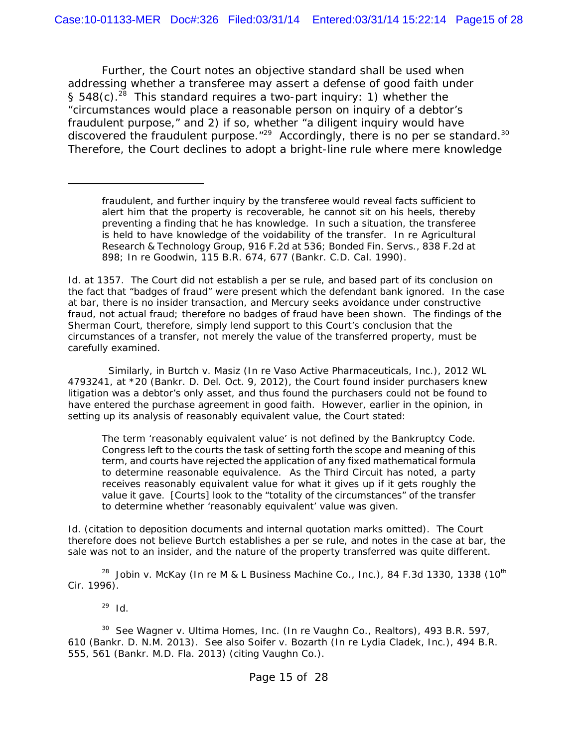Further, the Court notes an objective standard shall be used when addressing whether a transferee may assert a defense of good faith under § 548(c).<sup>28</sup> This standard requires a two-part inquiry: 1) whether the "circumstances would place a reasonable person on inquiry of a debtor's fraudulent purpose," and 2) if so, whether "a diligent inquiry would have discovered the fraudulent purpose.<sup>"29</sup> Accordingly, there is no *per se* standard.<sup>30</sup> Therefore, the Court declines to adopt a bright-line rule where mere knowledge

*Id*. at 1357. The Court did not establish a *per se* rule, and based part of its conclusion on the fact that "badges of fraud" were present which the defendant bank ignored. In the case at bar, there is no insider transaction, and Mercury seeks avoidance under constructive fraud, not actual fraud; therefore no badges of fraud have been shown. The findings of the *Sherman* Court, therefore, simply lend support to this Court's conclusion that the circumstances of a transfer, not merely the value of the transferred property, must be carefully examined.

Similarly, in *Burtch v. Masiz (In re Vaso Active Pharmaceuticals, Inc.)*, 2012 WL 4793241, at \*20 (Bankr. D. Del. Oct. 9, 2012), the Court found insider purchasers knew litigation was a debtor's only asset, and thus found the purchasers could not be found to have entered the purchase agreement in good faith. However, earlier in the opinion, in setting up its analysis of reasonably equivalent value, the Court stated:

The term 'reasonably equivalent value' is not defined by the Bankruptcy Code. Congress left to the courts the task of setting forth the scope and meaning of this term, and courts have rejected the application of any fixed mathematical formula to determine reasonable equivalence. As the Third Circuit has noted, a party receives reasonably equivalent value for what it gives up if it gets roughly the value it gave. [Courts] look to the "totality of the circumstances" of the transfer to determine whether 'reasonably equivalent' value was given.

*Id.* (citation to deposition documents and internal quotation marks omitted). The Court therefore does not believe *Burtch* establishes a *per se* rule, and notes in the case at bar, the sale was not to an insider, and the nature of the property transferred was quite different.

<sup>28</sup> Jobin v. McKay (In re M & L Business Machine Co., Inc.), 84 F.3d 1330, 1338 (10<sup>th</sup> Cir. 1996).

<sup>29</sup> *Id.*

30 *See Wagner v. Ultima Homes, Inc. (In re Vaughn Co., Realtors)*, 493 B.R. 597, 610 (Bankr. D. N.M. 2013). *See also Soifer v. Bozarth (In re Lydia Cladek, Inc.)*, 494 B.R. 555, 561 (Bankr. M.D. Fla. 2013) (citing *Vaughn Co.*).

fraudulent, and further inquiry by the transferee would reveal facts sufficient to alert him that the property is recoverable, he cannot sit on his heels, thereby preventing a finding that he has knowledge. In such a situation, the transferee is held to have knowledge of the voidability of the transfer. *In re Agricultural Research & Technology Group, 916 F.2d at 536; Bonded Fin. Servs*., 838 F.2d at 898; *In re Goodwin*, 115 B.R. 674, 677 (Bankr. C.D. Cal. 1990).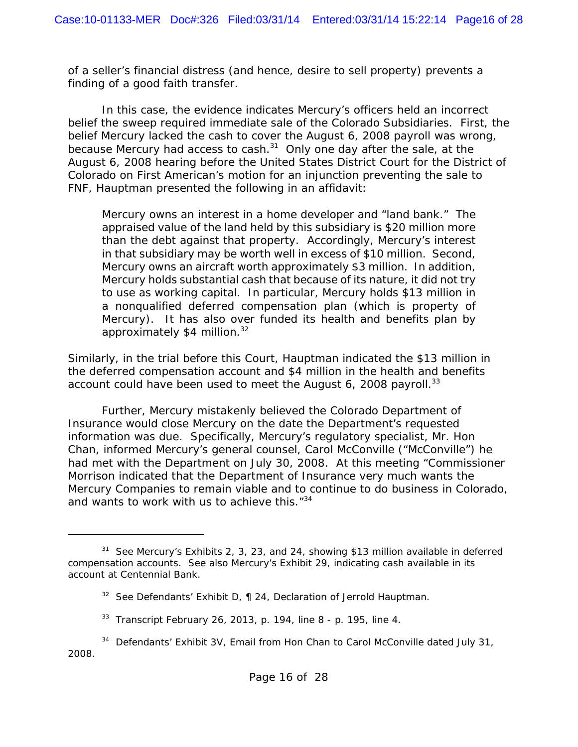of a seller's financial distress (and hence, desire to sell property) prevents a finding of a good faith transfer.

In this case, the evidence indicates Mercury's officers held an incorrect belief the sweep required immediate sale of the Colorado Subsidiaries. First, the belief Mercury lacked the cash to cover the August 6, 2008 payroll was wrong, because Mercury had access to cash.<sup>31</sup> Only one day after the sale, at the August 6, 2008 hearing before the United States District Court for the District of Colorado on First American's motion for an injunction preventing the sale to FNF, Hauptman presented the following in an affidavit:

Mercury owns an interest in a home developer and "land bank." The appraised value of the land held by this subsidiary is \$20 million more than the debt against that property. Accordingly, Mercury's interest in that subsidiary may be worth well in excess of \$10 million. Second, Mercury owns an aircraft worth approximately \$3 million. In addition, Mercury holds substantial cash that because of its nature, it did not try to use as working capital. In particular, Mercury holds \$13 million in a nonqualified deferred compensation plan (which is property of Mercury). It has also over funded its health and benefits plan by approximately  $$4$  million.<sup>32</sup>

Similarly, in the trial before this Court, Hauptman indicated the \$13 million in the deferred compensation account and \$4 million in the health and benefits account could have been used to meet the August  $6$ , 2008 payroll.<sup>33</sup>

Further, Mercury mistakenly believed the Colorado Department of Insurance would close Mercury on the date the Department's requested information was due. Specifically, Mercury's regulatory specialist, Mr. Hon Chan, informed Mercury's general counsel, Carol McConville ("McConville") he had met with the Department on July 30, 2008. At this meeting "Commissioner Morrison indicated that the Department of Insurance very much wants the Mercury Companies to remain viable and to continue to do business in Colorado, and wants to work with us to achieve this."<sup>34</sup>

<sup>31</sup> *See* Mercury's Exhibits 2, 3, 23, and 24, showing \$13 million available in deferred compensation accounts. *See also* Mercury's Exhibit 29, indicating cash available in its account at Centennial Bank.

<sup>32</sup> *See* Defendants' Exhibit D, ¶ 24, Declaration of Jerrold Hauptman.

<sup>33</sup> Transcript February 26, 2013, p. 194, line 8 - p. 195, line 4.

<sup>&</sup>lt;sup>34</sup> Defendants' Exhibit 3V, Email from Hon Chan to Carol McConville dated July 31, 2008.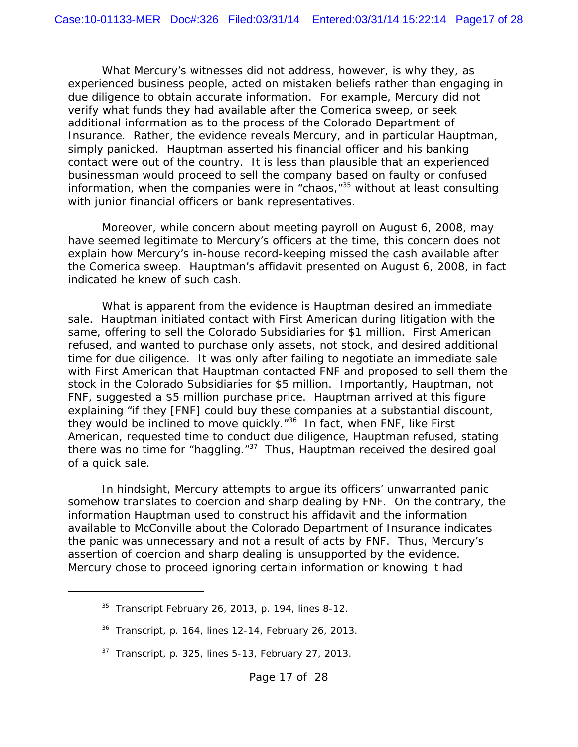What Mercury's witnesses did not address, however, is why they, as experienced business people, acted on mistaken beliefs rather than engaging in due diligence to obtain accurate information. For example, Mercury did not verify what funds they had available after the Comerica sweep, or seek additional information as to the process of the Colorado Department of Insurance. Rather, the evidence reveals Mercury, and in particular Hauptman, simply panicked. Hauptman asserted his financial officer and his banking contact were out of the country. It is less than plausible that an experienced businessman would proceed to sell the company based on faulty or confused information, when the companies were in "chaos, $135$  without at least consulting with junior financial officers or bank representatives.

Moreover, while concern about meeting payroll on August 6, 2008, may have seemed legitimate to Mercury's officers at the time, this concern does not explain how Mercury's in-house record-keeping missed the cash available after the Comerica sweep. Hauptman's affidavit presented on August 6, 2008, in fact indicated he knew of such cash.

What is apparent from the evidence is Hauptman desired an immediate sale. Hauptman initiated contact with First American during litigation with the same, offering to sell the Colorado Subsidiaries for \$1 million. First American refused, and wanted to purchase only assets, not stock, and desired additional time for due diligence. It was only after failing to negotiate an immediate sale with First American that Hauptman contacted FNF and proposed to sell them the stock in the Colorado Subsidiaries for \$5 million. Importantly, Hauptman, not FNF, suggested a \$5 million purchase price. Hauptman arrived at this figure explaining "if they [FNF] could buy these companies at a substantial discount, they would be inclined to move quickly."36 In fact, when FNF, like First American, requested time to conduct due diligence, Hauptman refused, stating there was no time for "haggling. $137$  Thus, Hauptman received the desired goal of a quick sale.

In hindsight, Mercury attempts to argue its officers' unwarranted panic somehow translates to coercion and sharp dealing by FNF. On the contrary, the information Hauptman used to construct his affidavit and the information available to McConville about the Colorado Department of Insurance indicates the panic was unnecessary and not a result of acts by FNF. Thus, Mercury's assertion of coercion and sharp dealing is unsupported by the evidence. Mercury chose to proceed ignoring certain information or knowing it had

 $35$  Transcript February 26, 2013, p. 194, lines 8-12.

 $36$  Transcript, p. 164, lines 12-14, February 26, 2013.

 $37$  Transcript, p. 325, lines 5-13, February 27, 2013.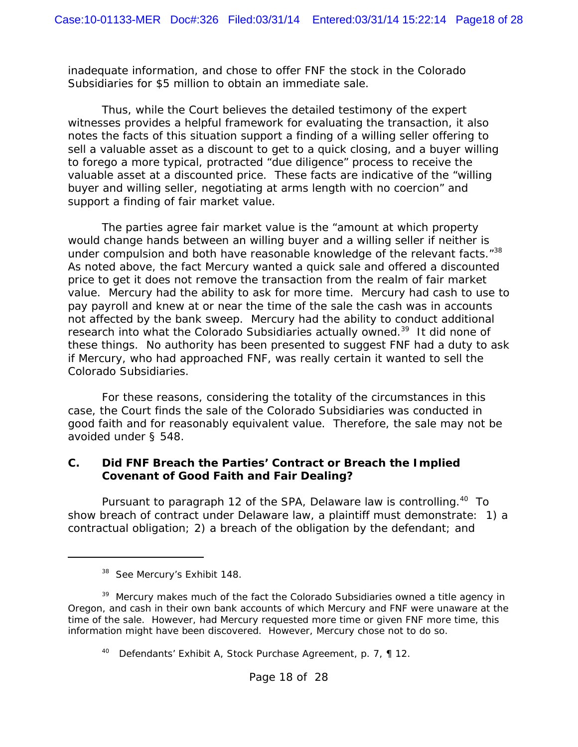inadequate information, and chose to offer FNF the stock in the Colorado Subsidiaries for \$5 million to obtain an immediate sale.

Thus, while the Court believes the detailed testimony of the expert witnesses provides a helpful framework for evaluating the transaction, it also notes the facts of this situation support a finding of a willing seller offering to sell a valuable asset as a discount to get to a quick closing, and a buyer willing to forego a more typical, protracted "due diligence" process to receive the valuable asset at a discounted price. These facts are indicative of the "willing buyer and willing seller, negotiating at arms length with no coercion" and support a finding of fair market value.

The parties agree fair market value is the "amount at which property would change hands between an willing buyer and a willing seller if neither is under compulsion and both have reasonable knowledge of the relevant facts."<sup>38</sup> As noted above, the fact Mercury wanted a quick sale and offered a discounted price to get it does not remove the transaction from the realm of fair market value. Mercury had the ability to ask for more time. Mercury had cash to use to pay payroll and knew at or near the time of the sale the cash was in accounts not affected by the bank sweep. Mercury had the ability to conduct additional research into what the Colorado Subsidiaries actually owned.39 It did none of these things. No authority has been presented to suggest FNF had a duty to ask if Mercury, who had approached FNF, was really certain it wanted to sell the Colorado Subsidiaries.

For these reasons, considering the totality of the circumstances in this case, the Court finds the sale of the Colorado Subsidiaries was conducted in good faith and for reasonably equivalent value. Therefore, the sale may not be avoided under § 548.

#### **C. Did FNF Breach the Parties' Contract or Breach the Implied Covenant of Good Faith and Fair Dealing?**

Pursuant to paragraph 12 of the SPA, Delaware law is controlling.<sup>40</sup> To show breach of contract under Delaware law, a plaintiff must demonstrate: 1) a contractual obligation; 2) a breach of the obligation by the defendant; and

<sup>38</sup> *See* Mercury's Exhibit 148.

<sup>&</sup>lt;sup>39</sup> Mercury makes much of the fact the Colorado Subsidiaries owned a title agency in Oregon, and cash in their own bank accounts of which Mercury and FNF were unaware at the time of the sale. However, had Mercury requested more time or given FNF more time, this information might have been discovered. However, Mercury chose not to do so.

<sup>&</sup>lt;sup>40</sup> Defendants' Exhibit A, Stock Purchase Agreement, p. 7, ¶ 12.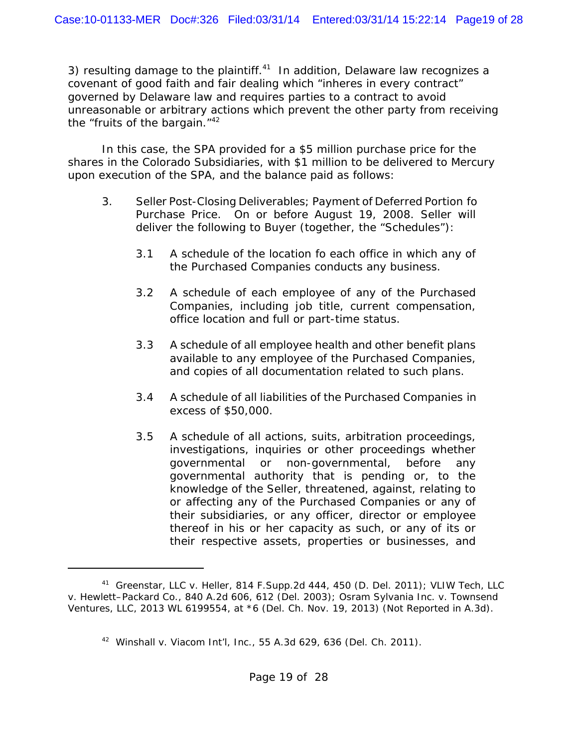3) resulting damage to the plaintiff. $41$  In addition, Delaware law recognizes a covenant of good faith and fair dealing which "inheres in every contract" governed by Delaware law and requires parties to a contract to avoid unreasonable or arbitrary actions which prevent the other party from receiving the "fruits of the bargain. $142$ 

In this case, the SPA provided for a \$5 million purchase price for the shares in the Colorado Subsidiaries, with \$1 million to be delivered to Mercury upon execution of the SPA, and the balance paid as follows:

- 3. Seller Post-Closing Deliverables; Payment of Deferred Portion fo Purchase Price. On or before August 19, 2008. Seller will deliver the following to Buyer (together, the "Schedules"):
	- 3.1 A schedule of the location fo each office in which any of the Purchased Companies conducts any business.
	- 3.2 A schedule of each employee of any of the Purchased Companies, including job title, current compensation, office location and full or part-time status.
	- 3.3 A schedule of all employee health and other benefit plans available to any employee of the Purchased Companies, and copies of all documentation related to such plans.
	- 3.4 A schedule of all liabilities of the Purchased Companies in excess of \$50,000.
	- 3.5 A schedule of all actions, suits, arbitration proceedings, investigations, inquiries or other proceedings whether governmental or non-governmental, before any governmental authority that is pending or, to the knowledge of the Seller, threatened, against, relating to or affecting any of the Purchased Companies or any of their subsidiaries, or any officer, director or employee thereof in his or her capacity as such, or any of its or their respective assets, properties or businesses, and

<sup>41</sup> *Greenstar, LLC v. Heller*, 814 F.Supp.2d 444, 450 (D. Del. 2011); *VLIW Tech, LLC v. Hewlett–Packard Co.*, 840 A.2d 606, 612 (Del. 2003); *Osram Sylvania Inc. v. Townsend Ventures, LLC*, 2013 WL 6199554, at \*6 (Del. Ch. Nov. 19, 2013) (Not Reported in A.3d).

<sup>42</sup> *Winshall v. Viacom Int'l, Inc.*, 55 A.3d 629, 636 (Del. Ch. 2011).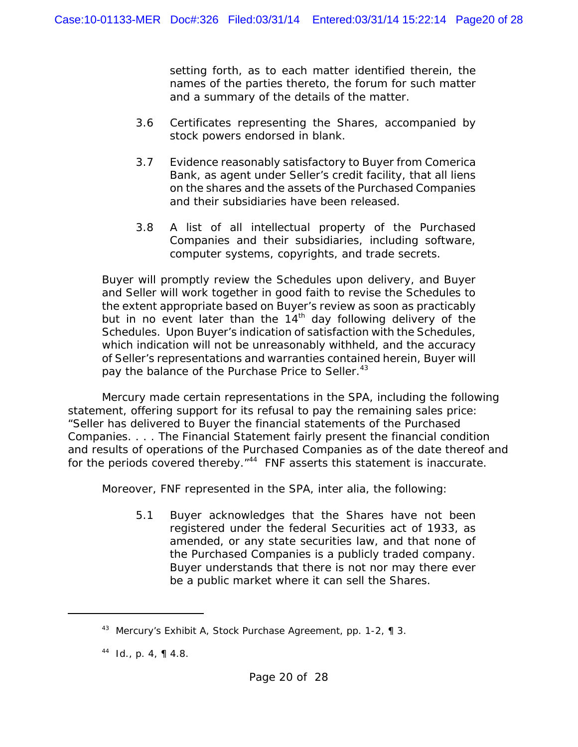setting forth, as to each matter identified therein, the names of the parties thereto, the forum for such matter and a summary of the details of the matter.

- 3.6 Certificates representing the Shares, accompanied by stock powers endorsed in blank.
- 3.7 Evidence reasonably satisfactory to Buyer from Comerica Bank, as agent under Seller's credit facility, that all liens on the shares and the assets of the Purchased Companies and their subsidiaries have been released.
- 3.8 A list of all intellectual property of the Purchased Companies and their subsidiaries, including software, computer systems, copyrights, and trade secrets.

Buyer will promptly review the Schedules upon delivery, and Buyer and Seller will work together in good faith to revise the Schedules to the extent appropriate based on Buyer's review as soon as practicably but in no event later than the  $14<sup>th</sup>$  day following delivery of the Schedules. Upon Buyer's indication of satisfaction with the Schedules, which indication will not be unreasonably withheld, and the accuracy of Seller's representations and warranties contained herein, Buyer will pay the balance of the Purchase Price to Seller.<sup>43</sup>

Mercury made certain representations in the SPA, including the following statement, offering support for its refusal to pay the remaining sales price: "Seller has delivered to Buyer the financial statements of the Purchased Companies. . . . The Financial Statement fairly present the financial condition and results of operations of the Purchased Companies as of the date thereof and for the periods covered thereby."<sup>44</sup> FNF asserts this statement is inaccurate.

Moreover, FNF represented in the SPA, *inter alia*, the following:

5.1 Buyer acknowledges that the Shares have not been registered under the federal Securities act of 1933, as amended, or any state securities law, and that none of the Purchased Companies is a publicly traded company. Buyer understands that there is not nor may there ever be a public market where it can sell the Shares.

<sup>&</sup>lt;sup>43</sup> Mercury's Exhibit A, Stock Purchase Agreement, pp. 1-2, ¶ 3.

<sup>44</sup> *Id*., p. 4, ¶ 4.8.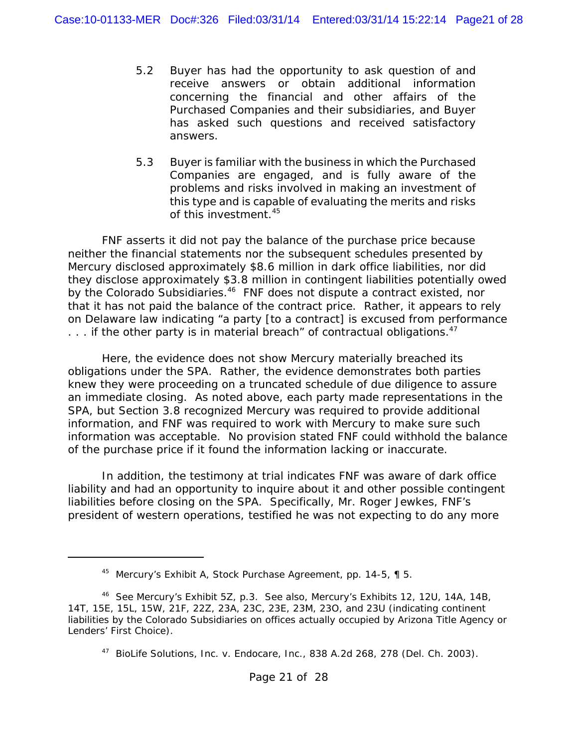- 5.2 Buyer has had the opportunity to ask question of and receive answers or obtain additional information concerning the financial and other affairs of the Purchased Companies and their subsidiaries, and Buyer has asked such questions and received satisfactory answers.
- 5.3 Buyer is familiar with the business in which the Purchased Companies are engaged, and is fully aware of the problems and risks involved in making an investment of this type and is capable of evaluating the merits and risks of this investment.45

FNF asserts it did not pay the balance of the purchase price because neither the financial statements nor the subsequent schedules presented by Mercury disclosed approximately \$8.6 million in dark office liabilities, nor did they disclose approximately \$3.8 million in contingent liabilities potentially owed by the Colorado Subsidiaries.<sup>46</sup> FNF does not dispute a contract existed, nor that it has not paid the balance of the contract price. Rather, it appears to rely on Delaware law indicating "a party [to a contract] is excused from performance ... if the other party is in material breach" of contractual obligations.  $47$ 

Here, the evidence does not show Mercury materially breached its obligations under the SPA. Rather, the evidence demonstrates both parties knew they were proceeding on a truncated schedule of due diligence to assure an immediate closing. As noted above, each party made representations in the SPA, but Section 3.8 recognized Mercury was required to provide additional information, and FNF was required to work with Mercury to make sure such information was acceptable. No provision stated FNF could withhold the balance of the purchase price if it found the information lacking or inaccurate.

In addition, the testimony at trial indicates FNF was aware of dark office liability and had an opportunity to inquire about it and other possible contingent liabilities before closing on the SPA. Specifically, Mr. Roger Jewkes, FNF's president of western operations, testified he was not expecting to do any more

<sup>45</sup> Mercury's Exhibit A, Stock Purchase Agreement, pp. 14-5, ¶ 5.

<sup>46</sup> *See* Mercury's Exhibit 5Z, p.3. *See also*, Mercury's Exhibits 12, 12U, 14A, 14B, 14T, 15E, 15L, 15W, 21F, 22Z, 23A, 23C, 23E, 23M, 23O, and 23U (indicating continent liabilities by the Colorado Subsidiaries on offices actually occupied by Arizona Title Agency or Lenders' First Choice).

<sup>47</sup> *BioLife Solutions, Inc. v. Endocare, Inc.*, 838 A.2d 268, 278 (Del. Ch. 2003).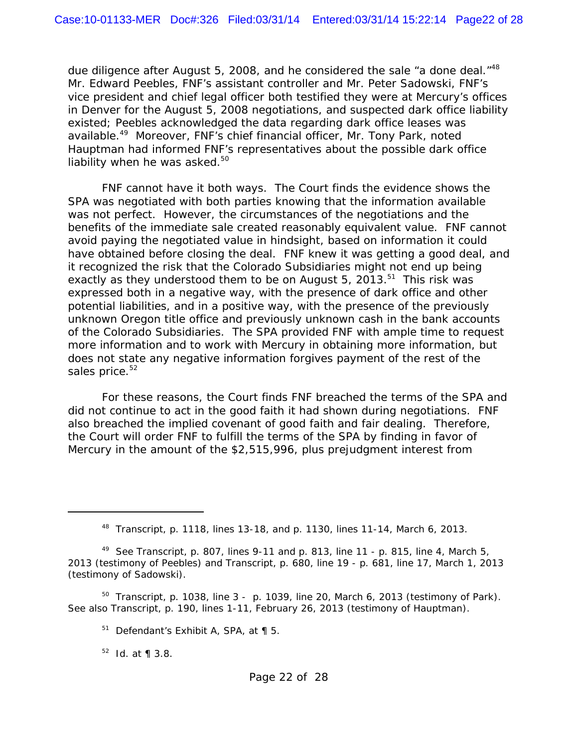due diligence after August 5, 2008, and he considered the sale "a done deal. $148$ " Mr. Edward Peebles, FNF's assistant controller and Mr. Peter Sadowski, FNF's vice president and chief legal officer both testified they were at Mercury's offices in Denver for the August 5, 2008 negotiations, and suspected dark office liability existed; Peebles acknowledged the data regarding dark office leases was available.49 Moreover, FNF's chief financial officer, Mr. Tony Park, noted Hauptman had informed FNF's representatives about the possible dark office liability when he was asked. $50<sup>50</sup>$ 

FNF cannot have it both ways. The Court finds the evidence shows the SPA was negotiated with both parties knowing that the information available was not perfect. However, the circumstances of the negotiations and the benefits of the immediate sale created reasonably equivalent value. FNF cannot avoid paying the negotiated value in hindsight, based on information it could have obtained before closing the deal. FNF knew it was getting a good deal, and it recognized the risk that the Colorado Subsidiaries might not end up being exactly as they understood them to be on August 5, 2013.<sup>51</sup> This risk was expressed both in a negative way, with the presence of dark office and other potential liabilities, and in a positive way, with the presence of the previously unknown Oregon title office and previously unknown cash in the bank accounts of the Colorado Subsidiaries. The SPA provided FNF with ample time to request more information and to work with Mercury in obtaining more information, but does not state any negative information forgives payment of the rest of the sales price.<sup>52</sup>

For these reasons, the Court finds FNF breached the terms of the SPA and did not continue to act in the good faith it had shown during negotiations. FNF also breached the implied covenant of good faith and fair dealing. Therefore, the Court will order FNF to fulfill the terms of the SPA by finding in favor of Mercury in the amount of the \$2,515,996, plus prejudgment interest from

 $50$  Transcript, p. 1038, line 3 - p. 1039, line 20, March 6, 2013 (testimony of Park). See also Transcript, p. 190, lines 1-11, February 26, 2013 (testimony of Hauptman).

52 *Id*. at ¶ 3.8.

 $48$  Transcript, p. 1118, lines 13-18, and p. 1130, lines 11-14, March 6, 2013.

<sup>49</sup> *See* Transcript, p. 807, lines 9-11 and p. 813, line 11 - p. 815, line 4, March 5, 2013 (testimony of Peebles) and Transcript, p. 680, line 19 - p. 681, line 17, March 1, 2013 (testimony of Sadowski).

 $51$  Defendant's Exhibit A, SPA, at  $\P$  5.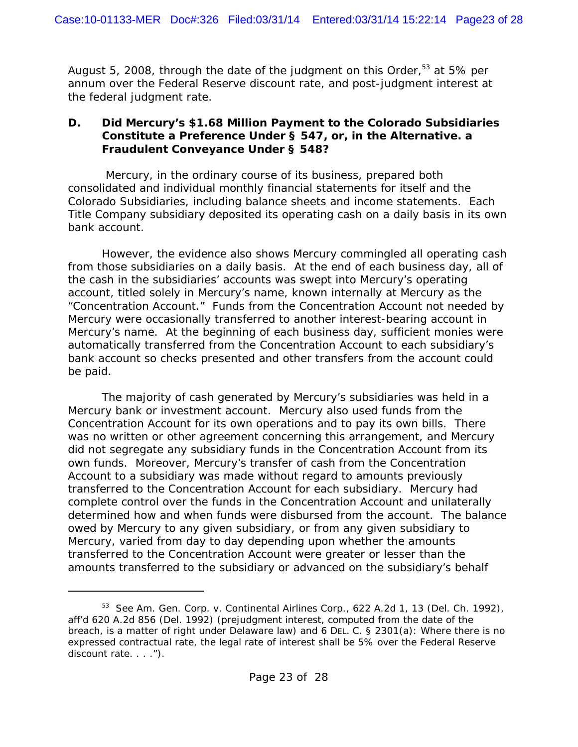August 5, 2008, through the date of the judgment on this Order,  $53$  at 5% per annum over the Federal Reserve discount rate, and post-judgment interest at the federal judgment rate.

#### **D. Did Mercury's \$1.68 Million Payment to the Colorado Subsidiaries Constitute a Preference Under § 547, or, in the Alternative. a Fraudulent Conveyance Under § 548?**

 Mercury, in the ordinary course of its business, prepared both consolidated and individual monthly financial statements for itself and the Colorado Subsidiaries, including balance sheets and income statements. Each Title Company subsidiary deposited its operating cash on a daily basis in its own bank account.

However, the evidence also shows Mercury commingled all operating cash from those subsidiaries on a daily basis. At the end of each business day, all of the cash in the subsidiaries' accounts was swept into Mercury's operating account, titled solely in Mercury's name, known internally at Mercury as the "Concentration Account." Funds from the Concentration Account not needed by Mercury were occasionally transferred to another interest-bearing account in Mercury's name. At the beginning of each business day, sufficient monies were automatically transferred from the Concentration Account to each subsidiary's bank account so checks presented and other transfers from the account could be paid.

The majority of cash generated by Mercury's subsidiaries was held in a Mercury bank or investment account. Mercury also used funds from the Concentration Account for its own operations and to pay its own bills. There was no written or other agreement concerning this arrangement, and Mercury did not segregate any subsidiary funds in the Concentration Account from its own funds. Moreover, Mercury's transfer of cash from the Concentration Account to a subsidiary was made without regard to amounts previously transferred to the Concentration Account for each subsidiary. Mercury had complete control over the funds in the Concentration Account and unilaterally determined how and when funds were disbursed from the account. The balance owed by Mercury to any given subsidiary, or from any given subsidiary to Mercury, varied from day to day depending upon whether the amounts transferred to the Concentration Account were greater or lesser than the amounts transferred to the subsidiary or advanced on the subsidiary's behalf

<sup>53</sup> *See Am. Gen. Corp. v. Continental Airlines Corp.*, 622 A.2d 1, 13 (Del. Ch. 1992), *aff'd* 620 A.2d 856 (Del. 1992) (prejudgment interest, computed from the date of the breach, is a matter of right under Delaware law) and 6 DEL. C. § 2301(a): Where there is no expressed contractual rate, the legal rate of interest shall be 5% over the Federal Reserve discount rate. . . . ").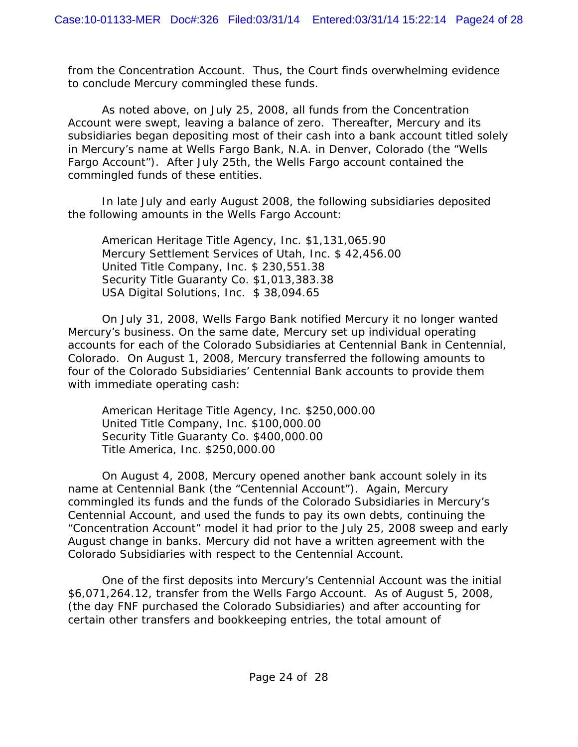from the Concentration Account. Thus, the Court finds overwhelming evidence to conclude Mercury commingled these funds.

As noted above, on July 25, 2008, all funds from the Concentration Account were swept, leaving a balance of zero. Thereafter, Mercury and its subsidiaries began depositing most of their cash into a bank account titled solely in Mercury's name at Wells Fargo Bank, N.A. in Denver, Colorado (the "Wells Fargo Account"). After July 25th, the Wells Fargo account contained the commingled funds of these entities.

In late July and early August 2008, the following subsidiaries deposited the following amounts in the Wells Fargo Account:

American Heritage Title Agency, Inc. \$1,131,065.90 Mercury Settlement Services of Utah, Inc. \$ 42,456.00 United Title Company, Inc. \$ 230,551.38 Security Title Guaranty Co. \$1,013,383.38 USA Digital Solutions, Inc. \$ 38,094.65

On July 31, 2008, Wells Fargo Bank notified Mercury it no longer wanted Mercury's business. On the same date, Mercury set up individual operating accounts for each of the Colorado Subsidiaries at Centennial Bank in Centennial, Colorado. On August 1, 2008, Mercury transferred the following amounts to four of the Colorado Subsidiaries' Centennial Bank accounts to provide them with immediate operating cash:

American Heritage Title Agency, Inc. \$250,000.00 United Title Company, Inc. \$100,000.00 Security Title Guaranty Co. \$400,000.00 Title America, Inc. \$250,000.00

On August 4, 2008, Mercury opened another bank account solely in its name at Centennial Bank (the "Centennial Account"). Again, Mercury commingled its funds and the funds of the Colorado Subsidiaries in Mercury's Centennial Account, and used the funds to pay its own debts, continuing the "Concentration Account" model it had prior to the July 25, 2008 sweep and early August change in banks. Mercury did not have a written agreement with the Colorado Subsidiaries with respect to the Centennial Account.

One of the first deposits into Mercury's Centennial Account was the initial \$6,071,264.12, transfer from the Wells Fargo Account. As of August 5, 2008, (the day FNF purchased the Colorado Subsidiaries) and after accounting for certain other transfers and bookkeeping entries, the total amount of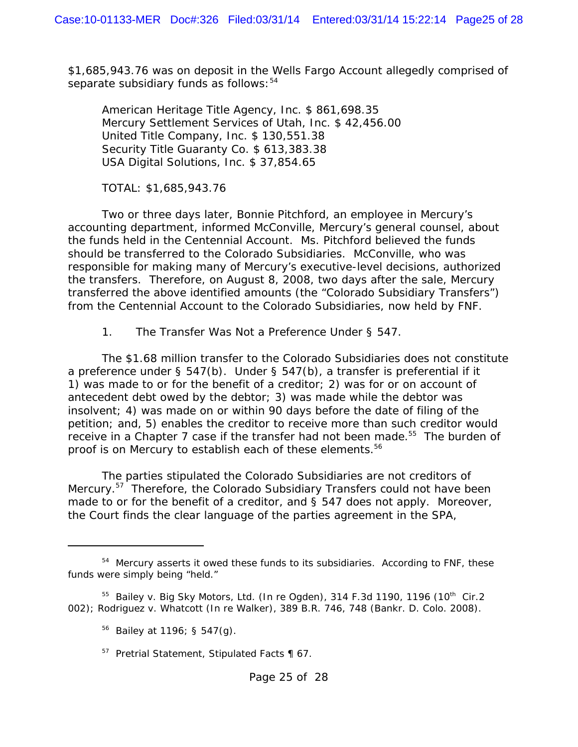\$1,685,943.76 was on deposit in the Wells Fargo Account allegedly comprised of separate subsidiary funds as follows:  $54$ 

American Heritage Title Agency, Inc. \$ 861,698.35 Mercury Settlement Services of Utah, Inc. \$ 42,456.00 United Title Company, Inc. \$ 130,551.38 Security Title Guaranty Co. \$ 613,383.38 USA Digital Solutions, Inc. \$ 37,854.65

TOTAL: \$1,685,943.76

Two or three days later, Bonnie Pitchford, an employee in Mercury's accounting department, informed McConville, Mercury's general counsel, about the funds held in the Centennial Account. Ms. Pitchford believed the funds should be transferred to the Colorado Subsidiaries. McConville, who was responsible for making many of Mercury's executive-level decisions, authorized the transfers. Therefore, on August 8, 2008, two days after the sale, Mercury transferred the above identified amounts (the "Colorado Subsidiary Transfers") from the Centennial Account to the Colorado Subsidiaries, now held by FNF.

#### *1. The Transfer Was Not a Preference Under § 547.*

The \$1.68 million transfer to the Colorado Subsidiaries does not constitute a preference under § 547(b). Under § 547(b), a transfer is preferential if it 1) was made to or for the benefit of a creditor; 2) was for or on account of antecedent debt owed by the debtor; 3) was made while the debtor was insolvent; 4) was made on or within 90 days before the date of filing of the petition; and, 5) enables the creditor to receive more than such creditor would receive in a Chapter 7 case if the transfer had not been made.<sup>55</sup> The burden of proof is on Mercury to establish each of these elements.<sup>56</sup>

The parties stipulated the Colorado Subsidiaries are not creditors of Mercury.<sup>57</sup> Therefore, the Colorado Subsidiary Transfers could not have been made to or for the benefit of a creditor, and § 547 does not apply. Moreover, the Court finds the clear language of the parties agreement in the SPA,

<sup>&</sup>lt;sup>54</sup> Mercury asserts it owed these funds to its subsidiaries. According to FNF, these funds were simply being "held."

<sup>&</sup>lt;sup>55</sup> *Bailey v. Big Sky Motors, Ltd. (In re Ogden)*, 314 F.3d 1190, 1196 (10<sup>th</sup> Cir.2 002); *Rodriguez v. Whatcott (In re Walker)*, 389 B.R. 746, 748 (Bankr. D. Colo. 2008).

<sup>56</sup> *Bailey* at 1196; § 547(g).

 $57$  Pretrial Statement, Stipulated Facts  $\P$  67.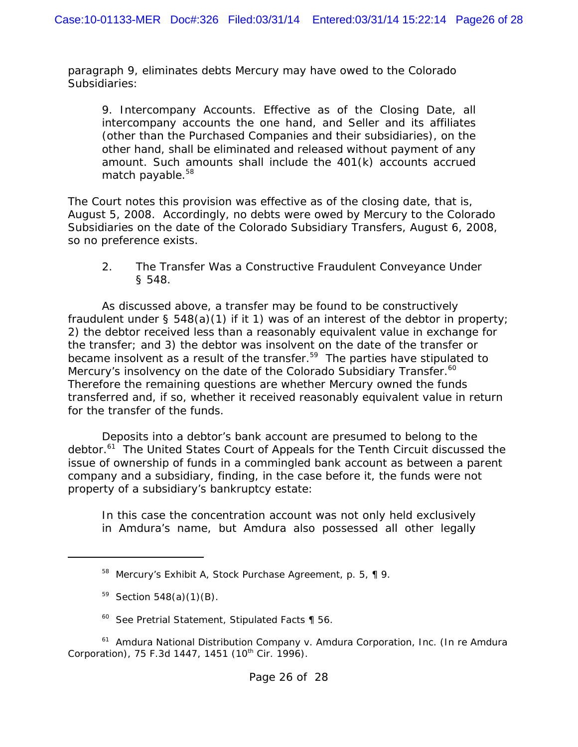paragraph 9, eliminates debts Mercury may have owed to the Colorado Subsidiaries:

9. Intercompany Accounts. Effective as of the Closing Date, all intercompany accounts the one hand, and Seller and its affiliates (other than the Purchased Companies and their subsidiaries), on the other hand, shall be eliminated and released without payment of any amount. Such amounts shall include the 401(k) accounts accrued match payable.<sup>58</sup>

The Court notes this provision was effective as of the closing date, that is, August 5, 2008. Accordingly, no debts were owed by Mercury to the Colorado Subsidiaries on the date of the Colorado Subsidiary Transfers, August 6, 2008, so no preference exists.

#### *2. The Transfer Was a Constructive Fraudulent Conveyance Under § 548.*

As discussed above, a transfer may be found to be constructively fraudulent under § 548(a)(1) if it 1) was of an interest of the debtor in property; 2) the debtor received less than a reasonably equivalent value in exchange for the transfer; and 3) the debtor was insolvent on the date of the transfer or became insolvent as a result of the transfer.<sup>59</sup> The parties have stipulated to Mercury's insolvency on the date of the Colorado Subsidiary Transfer.<sup>60</sup> Therefore the remaining questions are whether Mercury owned the funds transferred and, if so, whether it received reasonably equivalent value in return for the transfer of the funds.

Deposits into a debtor's bank account are presumed to belong to the debtor.<sup>61</sup> The United States Court of Appeals for the Tenth Circuit discussed the issue of ownership of funds in a commingled bank account as between a parent company and a subsidiary, finding, in the case before it, the funds were not property of a subsidiary's bankruptcy estate:

In this case the concentration account was not only held exclusively in Amdura's name, but Amdura also possessed all other legally

60 *See* Pretrial Statement, Stipulated Facts ¶ 56.

<sup>61</sup> *Amdura National Distribution Company v. Amdura Corporation, Inc. (In re Amdura Corporation*), 75 F.3d 1447, 1451 (10<sup>th</sup> Cir. 1996).

<sup>&</sup>lt;sup>58</sup> Mercury's Exhibit A, Stock Purchase Agreement, p. 5, ¶ 9.

 $59$  Section 548(a)(1)(B).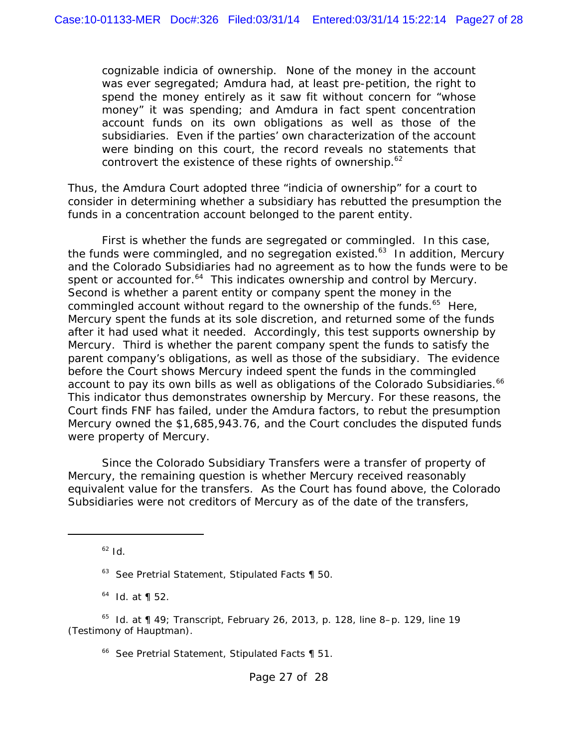cognizable indicia of ownership. None of the money in the account was ever segregated; Amdura had, at least pre-petition, the right to spend the money entirely as it saw fit without concern for "whose money" it was spending; and Amdura in fact spent concentration account funds on its own obligations as well as those of the subsidiaries. Even if the parties' own characterization of the account were binding on this court, the record reveals no statements that controvert the existence of these rights of ownership.<sup>62</sup>

Thus, the *Amdura* Court adopted three "indicia of ownership" for a court to consider in determining whether a subsidiary has rebutted the presumption the funds in a concentration account belonged to the parent entity.

First is whether the funds are segregated or commingled. In this case, the funds were commingled, and no segregation existed.<sup>63</sup> In addition, Mercury and the Colorado Subsidiaries had no agreement as to how the funds were to be spent or accounted for.<sup>64</sup> This indicates ownership and control by Mercury. Second is whether a parent entity or company spent the money in the commingled account without regard to the ownership of the funds.<sup>65</sup> Here, Mercury spent the funds at its sole discretion, and returned some of the funds after it had used what it needed. Accordingly, this test supports ownership by Mercury. Third is whether the parent company spent the funds to satisfy the parent company's obligations, as well as those of the subsidiary. The evidence before the Court shows Mercury indeed spent the funds in the commingled account to pay its own bills as well as obligations of the Colorado Subsidiaries.<sup>66</sup> This indicator thus demonstrates ownership by Mercury. For these reasons, the Court finds FNF has failed, under the *Amdura* factors, to rebut the presumption Mercury owned the \$1,685,943.76, and the Court concludes the disputed funds were property of Mercury.

Since the Colorado Subsidiary Transfers were a transfer of property of Mercury, the remaining question is whether Mercury received reasonably equivalent value for the transfers. As the Court has found above, the Colorado Subsidiaries were not creditors of Mercury as of the date of the transfers,

 $62$  *Id.* 

64 *Id.* at ¶ 52.

66 *See* Pretrial Statement, Stipulated Facts ¶ 51.

<sup>63</sup> *See* Pretrial Statement, Stipulated Facts ¶ 50.

<sup>65</sup> *Id.* at ¶ 49; Transcript, February 26, 2013, p. 128, line 8–p. 129, line 19 (Testimony of Hauptman).